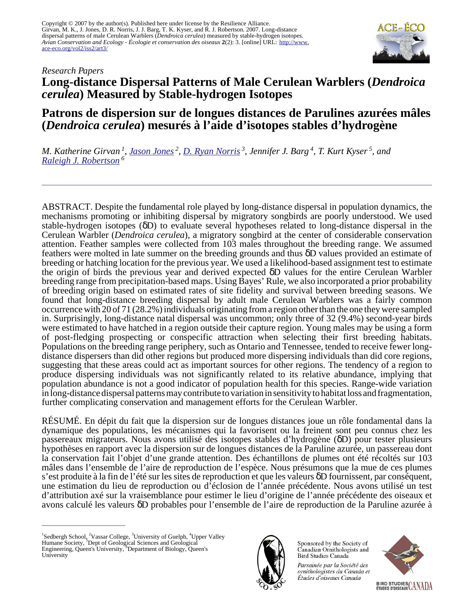

# *Research Papers* **Long-distance Dispersal Patterns of Male Cerulean Warblers (***Dendroica cerulea***) Measured by Stable-hydrogen Isotopes**

# **Patrons de dispersion sur de longues distances de Parulines azurées mâles (***Dendroica cerulea***) mesurés à l'aide d'isotopes stables d'hydrogène**

*M. Katherine Girvan<sup>1</sup>, J<u>ason Jones</u><sup>2</sup>, <u>[D. Ryan Norris](mailto:rnorris@uoguelph.ca)</u><sup>3</sup>, Jennifer J. Barg<sup>4</sup>, T. Kurt Kyser<sup>5</sup>, and [Raleigh J. Robertson](mailto:robertsr@biology.queensu.ca)<sup>6</sup>*

ABSTRACT. Despite the fundamental role played by long-distance dispersal in population dynamics, the mechanisms promoting or inhibiting dispersal by migratory songbirds are poorly understood. We used stable-hydrogen isotopes (δD) to evaluate several hypotheses related to long-distance dispersal in the Cerulean Warbler (*Dendroica cerulea*), a migratory songbird at the center of considerable conservation attention. Feather samples were collected from 103 males throughout the breeding range. We assumed feathers were molted in late summer on the breeding grounds and thus δD values provided an estimate of breeding or hatching location for the previous year. We used a likelihood-based assignment test to estimate the origin of birds the previous year and derived expected δD values for the entire Cerulean Warbler breeding range from precipitation-based maps. Using Bayes' Rule, we also incorporated a prior probability of breeding origin based on estimated rates of site fidelity and survival between breeding seasons. We found that long-distance breeding dispersal by adult male Cerulean Warblers was a fairly common occurrence with 20 of 71 (28.2%) individuals originating from a region other than the one they were sampled in. Surprisingly, long-distance natal dispersal was uncommon; only three of 32 (9.4%) second-year birds were estimated to have hatched in a region outside their capture region. Young males may be using a form of post-fledging prospecting or conspecific attraction when selecting their first breeding habitats. Populations on the breeding range periphery, such as Ontario and Tennessee, tended to receive fewer longdistance dispersers than did other regions but produced more dispersing individuals than did core regions, suggesting that these areas could act as important sources for other regions. The tendency of a region to produce dispersing individuals was not significantly related to its relative abundance, implying that population abundance is not a good indicator of population health for this species. Range-wide variation in long-distance dispersal patterns may contribute to variation in sensitivity to habitat loss and fragmentation, further complicating conservation and management efforts for the Cerulean Warbler.

RÉSUMÉ. En dépit du fait que la dispersion sur de longues distances joue un rôle fondamental dans la dynamique des populations, les mécanismes qui la favorisent ou la freinent sont peu connus chez les passereaux migrateurs. Nous avons utilisé des isotopes stables d'hydrogène (δD) pour tester plusieurs hypothèses en rapport avec la dispersion sur de longues distances de la Paruline azurée, un passereau dont la conservation fait l'objet d'une grande attention. Des échantillons de plumes ont été récoltés sur 103 mâles dans l'ensemble de l'aire de reproduction de l'espèce. Nous présumons que la mue de ces plumes s'est produite à la fin de l'été sur les sites de reproduction et que les valeurs δD fournissent, par conséquent, une estimation du lieu de reproduction ou d'éclosion de l'année précédente. Nous avons utilisé un test d'attribution axé sur la vraisemblance pour estimer le lieu d'origine de l'année précédente des oiseaux et avons calculé les valeurs δD probables pour l'ensemble de l'aire de reproduction de la Paruline azurée à



Sponsored by the Society of Canadian Ornithologists and Bird Studies Canada

Parrainée par la Société des ornithologistes du Canada et Études d'oiseaux Canada



<sup>&</sup>lt;sup>1</sup>Sedbergh School, <sup>2</sup>Vassar College, <sup>3</sup>University of Guelph, <sup>4</sup>Upper Valley Humane Society, <sup>5</sup>Dept of Geological Sciences and Geological Engineering, Queen's University, <sup>6</sup>Department of Biology, Queen's University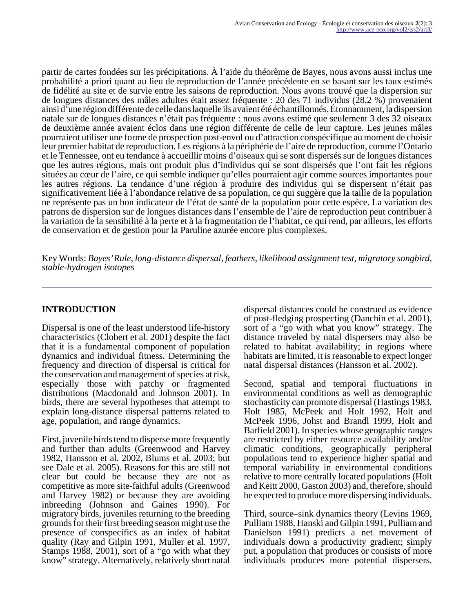partir de cartes fondées sur les précipitations. À l'aide du théorème de Bayes, nous avons aussi inclus une probabilité a priori quant au lieu de reproduction de l'année précédente en se basant sur les taux estimés de fidélité au site et de survie entre les saisons de reproduction. Nous avons trouvé que la dispersion sur de longues distances des mâles adultes était assez fréquente : 20 des 71 individus (28,2 %) provenaient ainsi d'une région différente de celle dans laquelle ils avaient été échantillonnés. Étonnamment, la dispersion natale sur de longues distances n'était pas fréquente : nous avons estimé que seulement 3 des 32 oiseaux de deuxième année avaient éclos dans une région différente de celle de leur capture. Les jeunes mâles pourraient utiliser une forme de prospection post-envol ou d'attraction conspécifique au moment de choisir leur premier habitat de reproduction. Les régions à la périphérie de l'aire de reproduction, comme l'Ontario et le Tennessee, ont eu tendance à accueillir moins d'oiseaux qui se sont dispersés sur de longues distances que les autres régions, mais ont produit plus d'individus qui se sont dispersés que l'ont fait les régions situées au cœur de l'aire, ce qui semble indiquer qu'elles pourraient agir comme sources importantes pour les autres régions. La tendance d'une région à produire des individus qui se dispersent n'était pas significativement liée à l'abondance relative de sa population, ce qui suggère que la taille de la population ne représente pas un bon indicateur de l'état de santé de la population pour cette espèce. La variation des patrons de dispersion sur de longues distances dans l'ensemble de l'aire de reproduction peut contribuer à la variation de la sensibilité à la perte et à la fragmentation de l'habitat, ce qui rend, par ailleurs, les efforts de conservation et de gestion pour la Paruline azurée encore plus complexes.

Key Words: *Bayes' Rule, long-distance dispersal, feathers, likelihood assignment test, migratory songbird, stable-hydrogen isotopes*

# **INTRODUCTION**

Dispersal is one of the least understood life-history characteristics (Clobert et al. 2001) despite the fact that it is a fundamental component of population dynamics and individual fitness. Determining the frequency and direction of dispersal is critical for the conservation and management of species at risk, especially those with patchy or fragmented distributions (Macdonald and Johnson 2001). In birds, there are several hypotheses that attempt to explain long-distance dispersal patterns related to age, population, and range dynamics.

First, juvenile birds tend to disperse more frequently and further than adults (Greenwood and Harvey 1982, Hansson et al. 2002, Blums et al. 2003; but see Dale et al. 2005). Reasons for this are still not clear but could be because they are not as competitive as more site-faithful adults (Greenwood and Harvey 1982) or because they are avoiding inbreeding (Johnson and Gaines 1990). For migratory birds, juveniles returning to the breeding grounds for their first breeding season might use the presence of conspecifics as an index of habitat quality (Ray and Gilpin 1991, Muller et al. 1997, Stamps 1988, 2001), sort of a "go with what they know" strategy. Alternatively, relatively short natal

dispersal distances could be construed as evidence of post-fledging prospecting (Danchin et al. 2001), sort of a "go with what you know" strategy. The distance traveled by natal dispersers may also be related to habitat availability; in regions where habitats are limited, it is reasonable to expect longer natal dispersal distances (Hansson et al. 2002).

Second, spatial and temporal fluctuations in environmental conditions as well as demographic stochasticity can promote dispersal (Hastings 1983, Holt 1985, McPeek and Holt 1992, Holt and McPeek 1996, Johst and Brandl 1999, Holt and Barfield 2001). In species whose geographic ranges are restricted by either resource availability and/or climatic conditions, geographically peripheral populations tend to experience higher spatial and temporal variability in environmental conditions relative to more centrally located populations (Holt and Keitt 2000, Gaston 2003) and, therefore, should be expected to produce more dispersing individuals.

Third, source–sink dynamics theory (Levins 1969, Pulliam 1988, Hanski and Gilpin 1991, Pulliam and Danielson 1991) predicts a net movement of individuals down a productivity gradient; simply put, a population that produces or consists of more individuals produces more potential dispersers.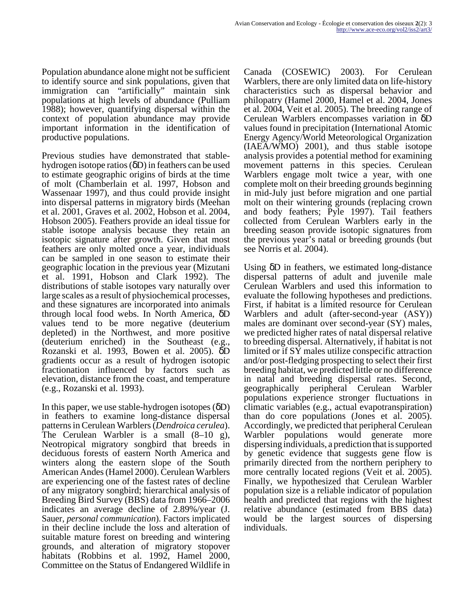Population abundance alone might not be sufficient to identify source and sink populations, given that immigration can "artificially" maintain sink populations at high levels of abundance (Pulliam 1988); however, quantifying dispersal within the context of population abundance may provide important information in the identification of productive populations.

Previous studies have demonstrated that stablehydrogen isotope ratios (δD) in feathers can be used to estimate geographic origins of birds at the time of molt (Chamberlain et al. 1997, Hobson and Wassenaar 1997), and thus could provide insight into dispersal patterns in migratory birds (Meehan et al. 2001, Graves et al. 2002, Hobson et al. 2004, Hobson 2005). Feathers provide an ideal tissue for stable isotope analysis because they retain an isotopic signature after growth. Given that most feathers are only molted once a year, individuals can be sampled in one season to estimate their geographic location in the previous year (Mizutani et al. 1991, Hobson and Clark 1992). The distributions of stable isotopes vary naturally over large scales as a result of physiochemical processes, and these signatures are incorporated into animals through local food webs. In North America, δD values tend to be more negative (deuterium depleted) in the Northwest, and more positive (deuterium enriched) in the Southeast (e.g., Rozanski et al. 1993, Bowen et al. 2005). δD gradients occur as a result of hydrogen isotopic fractionation influenced by factors such as elevation, distance from the coast, and temperature (e.g., Rozanski et al. 1993).

In this paper, we use stable-hydrogen isotopes (δD) in feathers to examine long-distance dispersal patterns in Cerulean Warblers (*Dendroica cerulea*). The Cerulean Warbler is a small (8–10 g), Neotropical migratory songbird that breeds in deciduous forests of eastern North America and winters along the eastern slope of the South American Andes (Hamel 2000). Cerulean Warblers are experiencing one of the fastest rates of decline of any migratory songbird; hierarchical analysis of Breeding Bird Survey (BBS) data from 1966–2006 indicates an average decline of 2.89%/year (J. Sauer, *personal communication*). Factors implicated in their decline include the loss and alteration of suitable mature forest on breeding and wintering grounds, and alteration of migratory stopover habitats (Robbins et al. 1992, Hamel 2000, Committee on the Status of Endangered Wildlife in

Canada (COSEWIC) 2003). For Cerulean Warblers, there are only limited data on life-history characteristics such as dispersal behavior and philopatry (Hamel 2000, Hamel et al. 2004, Jones et al. 2004, Veit et al. 2005). The breeding range of Cerulean Warblers encompasses variation in δD values found in precipitation (International Atomic Energy Agency/World Meteorological Organization (IAEA/WMO) 2001), and thus stable isotope analysis provides a potential method for examining movement patterns in this species. Cerulean Warblers engage molt twice a year, with one complete molt on their breeding grounds beginning in mid-July just before migration and one partial molt on their wintering grounds (replacing crown and body feathers; Pyle 1997). Tail feathers collected from Cerulean Warblers early in the breeding season provide isotopic signatures from the previous year's natal or breeding grounds (but see Norris et al. 2004).

Using δD in feathers, we estimated long-distance dispersal patterns of adult and juvenile male Cerulean Warblers and used this information to evaluate the following hypotheses and predictions. First, if habitat is a limited resource for Cerulean Warblers and adult (after-second-year (ASY)) males are dominant over second-year (SY) males, we predicted higher rates of natal dispersal relative to breeding dispersal. Alternatively, if habitat is not limited or if SY males utilize conspecific attraction and/or post-fledging prospecting to select their first breeding habitat, we predicted little or no difference in natal and breeding dispersal rates. Second, geographically peripheral Cerulean Warbler populations experience stronger fluctuations in climatic variables (e.g., actual evapotranspiration) than do core populations (Jones et al. 2005). Accordingly, we predicted that peripheral Cerulean Warbler populations would generate more dispersing individuals, a prediction that is supported by genetic evidence that suggests gene flow is primarily directed from the northern periphery to more centrally located regions (Veit et al. 2005). Finally, we hypothesized that Cerulean Warbler population size is a reliable indicator of population health and predicted that regions with the highest relative abundance (estimated from BBS data) would be the largest sources of dispersing individuals.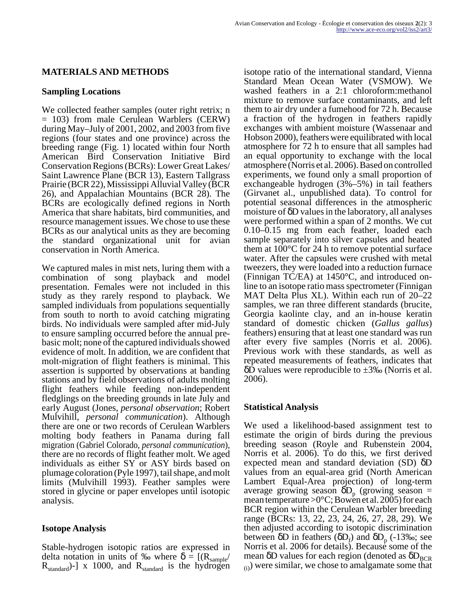## **MATERIALS AND METHODS**

#### **Sampling Locations**

We collected feather samples (outer right retrix; n = 103) from male Cerulean Warblers (CERW) during May–July of 2001, 2002, and 2003 from five regions (four states and one province) across the breeding range (Fig. 1) located within four North American Bird Conservation Initiative Bird Conservation Regions (BCRs): Lower Great Lakes/ Saint Lawrence Plane (BCR 13), Eastern Tallgrass Prairie (BCR 22), Mississippi Alluvial Valley (BCR 26), and Appalachian Mountains (BCR 28). The BCRs are ecologically defined regions in North America that share habitats, bird communities, and resource management issues. We chose to use these BCRs as our analytical units as they are becoming the standard organizational unit for avian conservation in North America.

We captured males in mist nets, luring them with a combination of song playback and model presentation. Females were not included in this study as they rarely respond to playback. We sampled individuals from populations sequentially from south to north to avoid catching migrating birds. No individuals were sampled after mid-July to ensure sampling occurred before the annual prebasic molt; none of the captured individuals showed evidence of molt. In addition, we are confident that molt-migration of flight feathers is minimal. This assertion is supported by observations at banding stations and by field observations of adults molting flight feathers while feeding non-independent fledglings on the breeding grounds in late July and early August (Jones, *personal observation*; Robert Mulvihill, *personal communication*). Although there are one or two records of Cerulean Warblers molting body feathers in Panama during fall migration (Gabriel Colorado, *personal communication*), there are no records of flight feather molt. We aged individuals as either SY or ASY birds based on plumage coloration (Pyle 1997), tail shape, and molt limits (Mulvihill 1993). Feather samples were stored in glycine or paper envelopes until isotopic analysis.

## **Isotope Analysis**

Stable-hydrogen isotopic ratios are expressed in delta notation in units of ‰ where  $\delta = [(R_{sample}/$  $R_{standard}$ )-] x 1000, and  $R_{standard}$  is the hydrogen isotope ratio of the international standard, Vienna Standard Mean Ocean Water (VSMOW). We washed feathers in a 2:1 chloroform:methanol mixture to remove surface contaminants, and left them to air dry under a fumehood for 72 h. Because a fraction of the hydrogen in feathers rapidly exchanges with ambient moisture (Wassenaar and Hobson 2000), feathers were equilibrated with local atmosphere for 72 h to ensure that all samples had an equal opportunity to exchange with the local atmosphere (Norris et al. 2006). Based on controlled experiments, we found only a small proportion of exchangeable hydrogen (3%–5%) in tail feathers (Girvanet al., unpublished data). To control for potential seasonal differences in the atmospheric moisture of δD values in the laboratory, all analyses were performed within a span of 2 months. We cut 0.10–0.15 mg from each feather, loaded each sample separately into silver capsules and heated them at 100°C for 24 h to remove potential surface water. After the capsules were crushed with metal tweezers, they were loaded into a reduction furnace (Finnigan TC/EA) at 1450°C, and introduced online to an isotope ratio mass spectrometer (Finnigan MAT Delta Plus XL). Within each run of 20–22 samples, we ran three different standards (brucite, Georgia kaolinte clay, and an in-house keratin standard of domestic chicken (*Gallus gallus*) feathers) ensuring that at least one standard was run after every five samples (Norris et al. 2006). Previous work with these standards, as well as repeated measurements of feathers, indicates that  $\delta$ D values were reproducible to  $\pm 3\%$  (Norris et al. 2006).

## **Statistical Analysis**

We used a likelihood-based assignment test to estimate the origin of birds during the previous breeding season (Royle and Rubenstein 2004, Norris et al. 2006). To do this, we first derived expected mean and standard deviation (SD) δD values from an equal-area grid (North American Lambert Equal-Area projection) of long-term average growing season  $\delta D_p$  (growing season = mean temperature  $>0^{\circ}C$ ; Bowen et al. 2005) for each BCR region within the Cerulean Warbler breeding range (BCRs: 13, 22, 23, 24, 26, 27, 28, 29). We then adjusted according to isotopic discrimination between  $\delta$ D in feathers ( $\delta$ D<sub>f</sub>) and  $\delta$ D<sub>p</sub> (-13‰; see Norris et al. 2006 for details). Because some of the mean  $\delta$ D values for each region (denoted as  $\delta$ D<sub>BCR</sub>  $_{(i)}$ ) were similar, we chose to amalgamate some that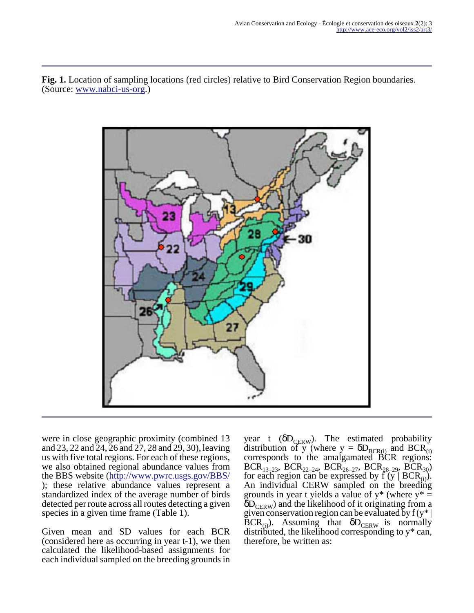**Fig. 1.** Location of sampling locations (red circles) relative to Bird Conservation Region boundaries. (Source: [www.nabci-us-org](http://www.ace-eco.org/173/www.nabci-us-org).)



were in close geographic proximity (combined 13 and 23, 22 and 24, 26 and 27, 28 and 29, 30), leaving us with five total regions. For each of these regions, we also obtained regional abundance values from the BBS website (<http://www.pwrc.usgs.gov/BBS/> ); these relative abundance values represent a standardized index of the average number of birds detected per route across all routes detecting a given species in a given time frame (Table 1).

Given mean and SD values for each BCR (considered here as occurring in year t-1), we then calculated the likelihood-based assignments for each individual sampled on the breeding grounds in year t ( $\delta D_{CERW}$ ). The estimated probability distribution of y (where  $y = \delta D_{BCR(i)}$  and BCR<sub>(i)</sub> corresponds to the amalgamated BCR regions:  $BCR_{13-23}$ ,  $BCR_{22-24}$ ,  $BCR_{26-27}$ ,  $BCR_{28-29}$ ,  $BCR_{30}$ ) for each region can be expressed by  $\overrightarrow{f}(y \mid BCR_{(i)})$ . An individual CERW sampled on the breeding grounds in year t yields a value of  $y^*$  (where  $y^* =$  $\delta D_{\text{CFRW}}$ ) and the likelihood of it originating from a given conservation region can be evaluated by  $f(y^*)$  $\overline{BCR}_{(i)}$ ). Assuming that  $\delta D_{CFRW}$  is normally distributed, the likelihood corresponding to y\* can, therefore, be written as: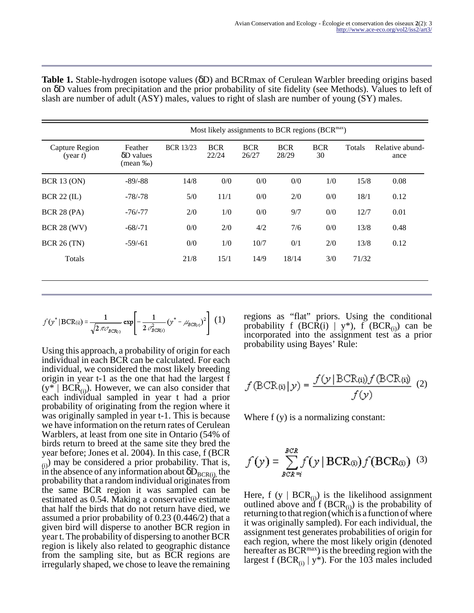| <b>Table 1.</b> Stable-hydrogen isotope values ( $\delta$ D) and BCRmax of Cerulean Warbler breeding origins based  |  |  |  |
|---------------------------------------------------------------------------------------------------------------------|--|--|--|
| on $\delta$ D values from precipitation and the prior probability of site fidelity (see Methods). Values to left of |  |  |  |
| slash are number of adult (ASY) males, values to right of slash are number of young (SY) males.                     |  |  |  |

|                            | Most likely assignments to BCR regions (BCR <sup>max</sup> ) |                  |                     |                     |                     |                  |        |                         |  |  |
|----------------------------|--------------------------------------------------------------|------------------|---------------------|---------------------|---------------------|------------------|--------|-------------------------|--|--|
| Capture Region<br>(year t) | Feather<br>$\delta$ D values<br>(mean ‰)                     | <b>BCR 13/23</b> | <b>BCR</b><br>22/24 | <b>BCR</b><br>26/27 | <b>BCR</b><br>28/29 | <b>BCR</b><br>30 | Totals | Relative abund-<br>ance |  |  |
| <b>BCR 13 (ON)</b>         | $-89/-88$                                                    | 14/8             | 0/0                 | 0/0                 | 0/0                 | 1/0              | 15/8   | 0.08                    |  |  |
| <b>BCR 22 (IL)</b>         | $-78/ -78$                                                   | 5/0              | 11/1                | 0/0                 | 2/0                 | 0/0              | 18/1   | 0.12                    |  |  |
| <b>BCR 28 (PA)</b>         | $-76/ -77$                                                   | 2/0              | 1/0                 | 0/0                 | 9/7                 | 0/0              | 12/7   | 0.01                    |  |  |
| <b>BCR 28 (WV)</b>         | $-68/ -71$                                                   | 0/0              | 2/0                 | 4/2                 | 7/6                 | 0/0              | 13/8   | 0.48                    |  |  |
| <b>BCR 26 (TN)</b>         | $-59/ -61$                                                   | 0/0              | 1/0                 | 10/7                | 0/1                 | 2/0              | 13/8   | 0.12                    |  |  |
| Totals                     |                                                              | 21/8             | 15/1                | 14/9                | 18/14               | 3/0              | 71/32  |                         |  |  |
|                            |                                                              |                  |                     |                     |                     |                  |        |                         |  |  |
|                            |                                                              |                  |                     |                     |                     |                  |        |                         |  |  |

$$
f(y^*|\text{BCR}_{(i)}) = \frac{1}{\sqrt{2\pi\mathcal{O}_{BCR(i)}}}\exp\left[-\frac{1}{2\mathcal{O}_{BCR(i)}^2}(y^* - \mathcal{A}_{BCR(i)})^2\right] (1)
$$

Using this approach, a probability of origin for each individual in each BCR can be calculated. For each individual, we considered the most likely breeding origin in year t-1 as the one that had the largest f  $(y^* | BCR_{(i)})$ . However, we can also consider that each individual sampled in year t had a prior probability of originating from the region where it was originally sampled in year t-1. This is because we have information on the return rates of Cerulean Warblers, at least from one site in Ontario (54% of birds return to breed at the same site they bred the year before; Jones et al. 2004). In this case, f (BCR  $(i)$  may be considered a prior probability. That is, in the absence of any information about  $\delta D_{BCR(i)}$ , the probability that a random individual originates from the same BCR region it was sampled can be estimated as 0.54. Making a conservative estimate that half the birds that do not return have died, we assumed a prior probability of 0.23 (0.446/2) that a given bird will disperse to another BCR region in year t. The probability of dispersing to another BCR region is likely also related to geographic distance from the sampling site, but as BCR regions are irregularly shaped, we chose to leave the remaining regions as "flat" priors. Using the conditional probability f (BCR(i) | y\*), f (BCR<sub>(i)</sub>) can be incorporated into the assignment test as a prior probability using Bayes' Rule:

$$
f(\text{BCR}(i)|y) = \frac{f(y|\text{BCR}(i))f(\text{BCR}(i))}{f(y)}
$$
(2)

Where f (y) is a normalizing constant:

$$
f(y) = \sum_{BCR=i}^{BCR} f(y | BCR_{(i)}) f(BCR_{(i)})
$$
 (3)

Here, f (y |  $BCR_{(i)}$ ) is the likelihood assignment outlined above and f  $(BCR_{(i)})$  is the probability of returning to that region (which is a function of where it was originally sampled). For each individual, the assignment test generates probabilities of origin for each region, where the most likely origin (denoted hereafter as BCR<sup>max</sup>) is the breeding region with the largest f (BCR<sub>(i)</sub> | y<sup>\*</sup>). For the 103 males included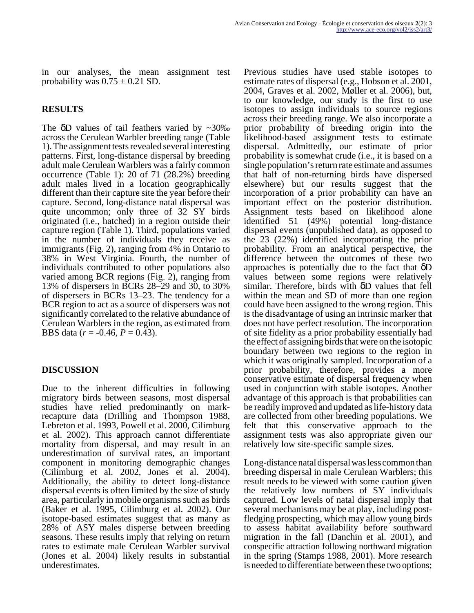in our analyses, the mean assignment test probability was  $0.75 \pm 0.21$  SD.

## **RESULTS**

The  $\delta$ D values of tail feathers varied by ~30‰ across the Cerulean Warbler breeding range (Table 1). The assignment tests revealed several interesting patterns. First, long-distance dispersal by breeding adult male Cerulean Warblers was a fairly common occurrence (Table 1): 20 of 71 (28.2%) breeding adult males lived in a location geographically different than their capture site the year before their capture. Second, long-distance natal dispersal was quite uncommon; only three of 32 SY birds originated (i.e., hatched) in a region outside their capture region (Table 1). Third, populations varied in the number of individuals they receive as immigrants (Fig. 2), ranging from 4% in Ontario to 38% in West Virginia. Fourth, the number of individuals contributed to other populations also varied among BCR regions (Fig. 2), ranging from 13% of dispersers in BCRs 28–29 and 30, to 30% of dispersers in BCRs 13–23. The tendency for a BCR region to act as a source of dispersers was not significantly correlated to the relative abundance of Cerulean Warblers in the region, as estimated from BBS data (*r* = -0.46, *P* = 0.43).

## **DISCUSSION**

Due to the inherent difficulties in following migratory birds between seasons, most dispersal studies have relied predominantly on markrecapture data (Drilling and Thompson 1988, Lebreton et al. 1993, Powell et al. 2000, Cilimburg et al. 2002). This approach cannot differentiate mortality from dispersal, and may result in an underestimation of survival rates, an important component in monitoring demographic changes (Cilimburg et al. 2002, Jones et al. 2004). Additionally, the ability to detect long-distance dispersal events is often limited by the size of study area, particularly in mobile organisms such as birds (Baker et al. 1995, Cilimburg et al. 2002). Our isotope-based estimates suggest that as many as 28% of ASY males disperse between breeding seasons. These results imply that relying on return rates to estimate male Cerulean Warbler survival (Jones et al. 2004) likely results in substantial underestimates.

Previous studies have used stable isotopes to estimate rates of dispersal (e.g., Hobson et al. 2001, 2004, Graves et al. 2002, Møller et al. 2006), but, to our knowledge, our study is the first to use isotopes to assign individuals to source regions across their breeding range. We also incorporate a prior probability of breeding origin into the likelihood-based assignment tests to estimate dispersal. Admittedly, our estimate of prior probability is somewhat crude (i.e., it is based on a single population's return rate estimate and assumes that half of non-returning birds have dispersed elsewhere) but our results suggest that the incorporation of a prior probability can have an important effect on the posterior distribution. Assignment tests based on likelihood alone identified 51 (49%) potential long-distance dispersal events (unpublished data), as opposed to the 23 (22%) identified incorporating the prior probability. From an analytical perspective, the difference between the outcomes of these two approaches is potentially due to the fact that δD values between some regions were relatively similar. Therefore, birds with δD values that fell within the mean and SD of more than one region could have been assigned to the wrong region. This is the disadvantage of using an intrinsic marker that does not have perfect resolution. The incorporation of site fidelity as a prior probability essentially had the effect of assigning birds that were on the isotopic boundary between two regions to the region in which it was originally sampled. Incorporation of a prior probability, therefore, provides a more conservative estimate of dispersal frequency when used in conjunction with stable isotopes. Another advantage of this approach is that probabilities can be readily improved and updated as life-history data are collected from other breeding populations. We felt that this conservative approach to the assignment tests was also appropriate given our relatively low site-specific sample sizes.

Long-distance natal dispersal was less common than breeding dispersal in male Cerulean Warblers; this result needs to be viewed with some caution given the relatively low numbers of SY individuals captured. Low levels of natal dispersal imply that several mechanisms may be at play, including postfledging prospecting, which may allow young birds to assess habitat availability before southward migration in the fall (Danchin et al. 2001), and conspecific attraction following northward migration in the spring (Stamps 1988, 2001). More research is needed to differentiate between these two options;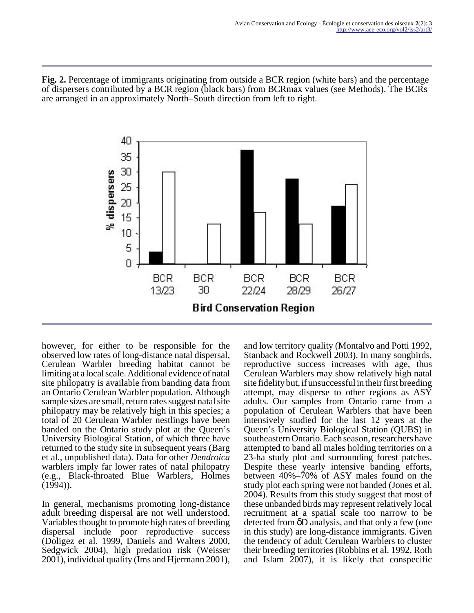**Fig. 2.** Percentage of immigrants originating from outside a BCR region (white bars) and the percentage of dispersers contributed by a BCR region (black bars) from BCRmax values (see Methods). The BCRs are arranged in an approximately North–South direction from left to right.



however, for either to be responsible for the observed low rates of long-distance natal dispersal, Cerulean Warbler breeding habitat cannot be limiting at a local scale. Additional evidence of natal site philopatry is available from banding data from an Ontario Cerulean Warbler population. Although sample sizes are small, return rates suggest natal site philopatry may be relatively high in this species; a total of 20 Cerulean Warbler nestlings have been banded on the Ontario study plot at the Queen's University Biological Station, of which three have returned to the study site in subsequent years (Barg et al., unpublished data). Data for other *Dendroica* warblers imply far lower rates of natal philopatry (e.g., Black-throated Blue Warblers, Holmes  $(1994)$ ).

In general, mechanisms promoting long-distance adult breeding dispersal are not well understood. Variables thought to promote high rates of breeding dispersal include poor reproductive success (Doligez et al. 1999, Daniels and Walters 2000, Sedgwick 2004), high predation risk (Weisser 2001), individual quality (Ims and Hjermann 2001),

and low territory quality (Montalvo and Potti 1992, Stanback and Rockwell 2003). In many songbirds, reproductive success increases with age, thus Cerulean Warblers may show relatively high natal site fidelity but, if unsuccessful in their first breeding attempt, may disperse to other regions as ASY adults. Our samples from Ontario came from a population of Cerulean Warblers that have been intensively studied for the last 12 years at the Queen's University Biological Station (QUBS) in southeastern Ontario. Each season, researchers have attempted to band all males holding territories on a 23-ha study plot and surrounding forest patches. Despite these yearly intensive banding efforts, between 40%–70% of ASY males found on the study plot each spring were not banded (Jones et al. 2004). Results from this study suggest that most of these unbanded birds may represent relatively local recruitment at a spatial scale too narrow to be detected from δD analysis, and that only a few (one in this study) are long-distance immigrants. Given the tendency of adult Cerulean Warblers to cluster their breeding territories (Robbins et al. 1992, Roth and Islam 2007), it is likely that conspecific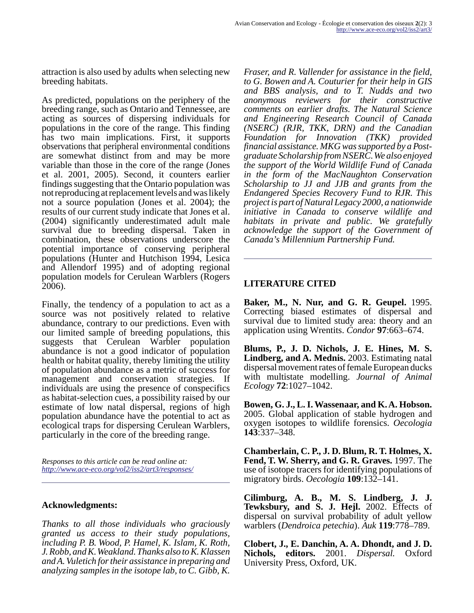attraction is also used by adults when selecting new breeding habitats.

As predicted, populations on the periphery of the breeding range, such as Ontario and Tennessee, are acting as sources of dispersing individuals for populations in the core of the range. This finding has two main implications. First, it supports observations that peripheral environmental conditions are somewhat distinct from and may be more variable than those in the core of the range (Jones et al. 2001, 2005). Second, it counters earlier findings suggesting that the Ontario population was not reproducing at replacement levels and was likely not a source population (Jones et al. 2004); the results of our current study indicate that Jones et al. (2004) significantly underestimated adult male survival due to breeding dispersal. Taken in combination, these observations underscore the potential importance of conserving peripheral populations (Hunter and Hutchison 1994, Lesica and Allendorf 1995) and of adopting regional population models for Cerulean Warblers (Rogers 2006).

Finally, the tendency of a population to act as a source was not positively related to relative abundance, contrary to our predictions. Even with our limited sample of breeding populations, this suggests that Cerulean Warbler population abundance is not a good indicator of population health or habitat quality, thereby limiting the utility of population abundance as a metric of success for management and conservation strategies. If individuals are using the presence of conspecifics as habitat-selection cues, a possibility raised by our estimate of low natal dispersal, regions of high population abundance have the potential to act as ecological traps for dispersing Cerulean Warblers, particularly in the core of the breeding range.

*Responses to this article can be read online at: <http://www.ace-eco.org/vol2/iss2/art3/responses/>*

#### **Acknowledgments:**

*Thanks to all those individuals who graciously granted us access to their study populations, including P. B. Wood, P. Hamel, K. Islam, K. Roth, J. Robb, and K. Weakland. Thanks also to K. Klassen and A. Vuletich for their assistance in preparing and analyzing samples in the isotope lab, to C. Gibb, K.*

*Fraser, and R. Vallender for assistance in the field, to G. Bowen and A. Couturier for their help in GIS and BBS analysis, and to T. Nudds and two anonymous reviewers for their constructive comments on earlier drafts. The Natural Science and Engineering Research Council of Canada (NSERC) (RJR, TKK, DRN) and the Canadian Foundation for Innovation (TKK) provided financial assistance. MKG was supported by a Postgraduate Scholarship from NSERC. We also enjoyed the support of the World Wildlife Fund of Canada in the form of the MacNaughton Conservation Scholarship to JJ and JJB and grants from the Endangered Species Recovery Fund to RJR. This project is part of Natural Legacy 2000, a nationwide initiative in Canada to conserve wildlife and habitats in private and public. We gratefully acknowledge the support of the Government of Canada's Millennium Partnership Fund.*

#### **LITERATURE CITED**

**Baker, M., N. Nur, and G. R. Geupel.** 1995. Correcting biased estimates of dispersal and survival due to limited study area: theory and an application using Wrentits. *Condor* **97**:663–674.

**Blums, P., J. D. Nichols, J. E. Hines, M. S. Lindberg, and A. Mednis.** 2003. Estimating natal dispersal movement rates of female European ducks with multistate modelling. *Journal of Animal Ecology* **72**:1027–1042.

**Bowen, G. J., L. I. Wassenaar, and K. A. Hobson.** 2005. Global application of stable hydrogen and oxygen isotopes to wildlife forensics. *Oecologia* **143**:337–348.

**Chamberlain, C. P., J. D. Blum, R. T. Holmes, X. Fend, T. W. Sherry, and G. R. Graves.** 1997. The use of isotope tracers for identifying populations of migratory birds. *Oecologia* **109**:132–141.

**Cilimburg, A. B., M. S. Lindberg, J. J. Tewksbury, and S. J. Hejl.** 2002. Effects of dispersal on survival probability of adult yellow warblers (*Dendroica petechia*). *Auk* **119**:778–789.

**Clobert, J., E. Danchin, A. A. Dhondt, and J. D. Nichols, editors.** 2001. *Dispersal.* Oxford University Press, Oxford, UK.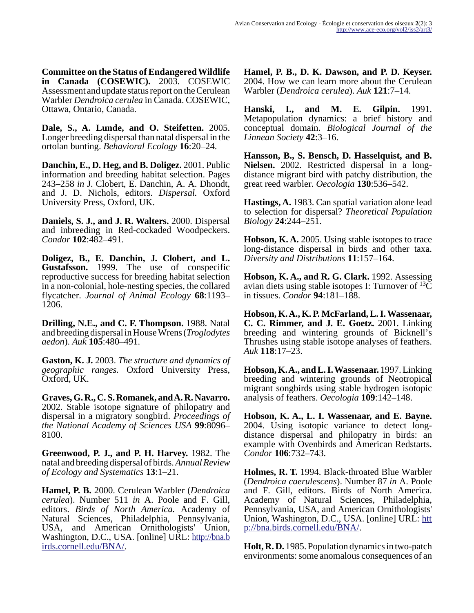**Committee on the Status of Endangered Wildlife in Canada (COSEWIC).** 2003. COSEWIC Assessment and update status report on the Cerulean Warbler *Dendroica cerulea* in Canada. COSEWIC, Ottawa, Ontario, Canada.

**Dale, S., A. Lunde, and O. Steifetten.** 2005. Longer breeding dispersal than natal dispersal in the ortolan bunting. *Behavioral Ecology* **16**:20–24.

**Danchin, E., D. Heg, and B. Doligez.** 2001. Public information and breeding habitat selection. Pages 243–258 *in* J. Clobert, E. Danchin, A. A. Dhondt, and J. D. Nichols, editors. *Dispersal.* Oxford University Press, Oxford, UK.

**Daniels, S. J., and J. R. Walters.** 2000. Dispersal and inbreeding in Red-cockaded Woodpeckers. *Condor* **102**:482–491.

**Doligez, B., E. Danchin, J. Clobert, and L. Gustafsson.** 1999. The use of conspecific reproductive success for breeding habitat selection in a non-colonial, hole-nesting species, the collared flycatcher. *Journal of Animal Ecology* **68**:1193– 1206.

**Drilling, N.E., and C. F. Thompson.** 1988. Natal and breeding dispersal in House Wrens (*Troglodytes aedon*). *Auk* **105**:480–491.

**Gaston, K. J.** 2003. *The structure and dynamics of geographic ranges.* Oxford University Press, Oxford, UK.

**Graves, G. R., C. S. Romanek, and A. R. Navarro.** 2002. Stable isotope signature of philopatry and dispersal in a migratory songbird. *Proceedings of the National Academy of Sciences USA* **99**:8096– 8100.

**Greenwood, P. J., and P. H. Harvey.** 1982. The natal and breeding dispersal of birds. *Annual Review of Ecology and Systematics* **13**:1–21.

**Hamel, P. B.** 2000. Cerulean Warbler (*Dendroica cerulea*). Number 511 *in* A. Poole and F. Gill, editors. *Birds of North America.* Academy of Natural Sciences, Philadelphia, Pennsylvania, USA, and American Ornithologists' Union, Washington, D.C., USA. [online] URL: [http://bna.b](http://bna.birds.cornell.edu/BNA/) [irds.cornell.edu/BNA/.](http://bna.birds.cornell.edu/BNA/)

**Hamel, P. B., D. K. Dawson, and P. D. Keyser.** 2004. How we can learn more about the Cerulean Warbler (*Dendroica cerulea*). *Auk* **121**:7–14.

**Hanski, I., and M. E. Gilpin.** 1991. Metapopulation dynamics: a brief history and conceptual domain. *Biological Journal of the Linnean Society* **42**:3–16.

**Hansson, B., S. Bensch, D. Hasselquist, and B. Nielsen.** 2002. Restricted dispersal in a longdistance migrant bird with patchy distribution, the great reed warbler. *Oecologia* **130**:536–542.

**Hastings, A.** 1983. Can spatial variation alone lead to selection for dispersal? *Theoretical Population Biology* **24**:244–251.

**Hobson, K. A.** 2005. Using stable isotopes to trace long-distance dispersal in birds and other taxa. *Diversity and Distributions* **11**:157–164.

**Hobson, K. A., and R. G. Clark.** 1992. Assessing avian diets using stable isotopes I: Turnover of  $^{13}C$ in tissues. *Condor* **94**:181–188.

**Hobson, K. A., K. P. McFarland, L. I. Wassenaar, C. C. Rimmer, and J. E. Goetz.** 2001. Linking breeding and wintering grounds of Bicknell's Thrushes using stable isotope analyses of feathers. *Auk* **118**:17–23.

**Hobson, K. A., and L. I. Wassenaar.** 1997. Linking breeding and wintering grounds of Neotropical migrant songbirds using stable hydrogen isotopic analysis of feathers. *Oecologia* **109**:142–148.

**Hobson, K. A., L. I. Wassenaar, and E. Bayne.** 2004. Using isotopic variance to detect longdistance dispersal and philopatry in birds: an example with Ovenbirds and American Redstarts. *Condor* **106**:732–743.

**Holmes, R. T.** 1994. Black-throated Blue Warbler (*Dendroica caerulescens*). Number 87 *in* A. Poole and F. Gill, editors. Birds of North America. Academy of Natural Sciences, Philadelphia, Pennsylvania, USA, and American Ornithologists' Union, Washington, D.C., USA. [online] URL: [htt](http://bna.birds.cornell.edu/BNA/) [p://bna.birds.cornell.edu/BNA/.](http://bna.birds.cornell.edu/BNA/)

**Holt, R. D.** 1985. Population dynamics in two-patch environments: some anomalous consequences of an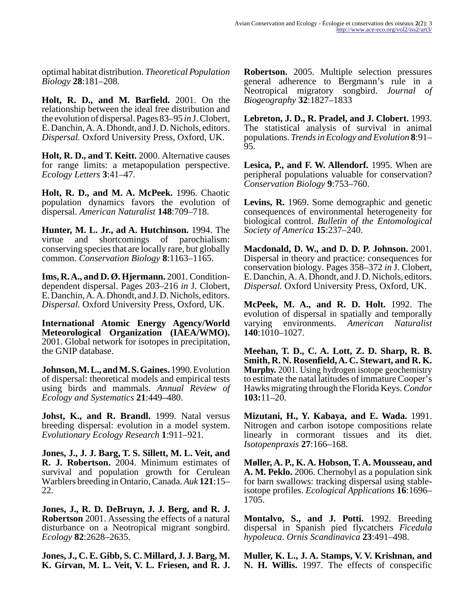optimal habitat distribution. *Theoretical Population Biology* **28**:181–208.

**Holt, R. D., and M. Barfield.** 2001. On the relationship between the ideal free distribution and the evolution of dispersal. Pages 83–95 *in* J. Clobert, E. Danchin, A. A. Dhondt, and J. D. Nichols, editors. *Dispersal.* Oxford University Press, Oxford, UK.

**Holt, R. D., and T. Keitt.** 2000. Alternative causes for range limits: a metapopulation perspective. *Ecology Letters* **3**:41–47.

**Holt, R. D., and M. A. McPeek.** 1996. Chaotic population dynamics favors the evolution of dispersal. *American Naturalist* **148**:709–718.

**Hunter, M. L. Jr., ad A. Hutchinson.** 1994. The virtue and shortcomings of parochialism: conserving species that are locally rare, but globally common. *Conservation Biology* **8**:1163–1165.

**Ims, R. A., and D. Ø. Hjermann.** 2001. Conditiondependent dispersal. Pages 203–216 *in* J. Clobert, E. Danchin, A. A. Dhondt, and J. D. Nichols, editors. *Dispersal.* Oxford University Press, Oxford, UK.

**International Atomic Energy Agency/World Meteorological Organization (IAEA/WMO).** 2001. Global network for isotopes in precipitation, the GNIP database.

**Johnson, M. L., and M. S. Gaines.** 1990. Evolution of dispersal: theoretical models and empirical tests using birds and mammals. *Annual Review of Ecology and Systematics* **21**:449–480.

**Johst, K., and R. Brandl.** 1999. Natal versus breeding dispersal: evolution in a model system. *Evolutionary Ecology Research* **1**:911–921.

**Jones, J., J. J. Barg, T. S. Sillett, M. L. Veit, and R. J. Robertson.** 2004. Minimum estimates of survival and population growth for Cerulean Warblers breeding in Ontario, Canada. *Auk* **121**:15– 22.

**Jones, J., R. D. DeBruyn, J. J. Berg, and R. J. Robertson** 2001. Assessing the effects of a natural disturbance on a Neotropical migrant songbird. *Ecology* **82**:2628–2635.

**Jones, J., C. E. Gibb, S. C. Millard, J. J. Barg, M. K. Girvan, M. L. Veit, V. L. Friesen, and R. J.**

**Robertson.** 2005. Multiple selection pressures general adherence to Bergmann's rule in a Neotropical migratory songbird. *Journal of Biogeography* **32**:1827–1833

**Lebreton, J. D., R. Pradel, and J. Clobert.** 1993. The statistical analysis of survival in animal populations. *Trends in Ecology and Evolution* **8**:91– 95.

**Lesica, P., and F. W. Allendorf.** 1995. When are peripheral populations valuable for conservation? *Conservation Biology* **9**:753–760.

**Levins, R.** 1969. Some demographic and genetic consequences of environmental heterogeneity for biological control. *Bulletin of the Entomological Society of America* **15**:237–240.

**Macdonald, D. W., and D. D. P. Johnson.** 2001. Dispersal in theory and practice: consequences for conservation biology. Pages 358–372 *in* J. Clobert, E. Danchin, A. A. Dhondt, and J. D. Nichols, editors. *Dispersal.* Oxford University Press, Oxford, UK.

**McPeek, M. A., and R. D. Holt.** 1992. The evolution of dispersal in spatially and temporally varying environments. *American Naturalist* **140**:1010–1027.

**Meehan, T. D., C. A. Lott, Z. D. Sharp, R. B. Smith, R. N. Rosenfield, A. C. Stewart, and R. K. Murphy.** 2001. Using hydrogen isotope geochemistry to estimate the natal latitudes of immature Cooper's Hawks migrating through the Florida Keys. *Condor* **103:**11–20.

**Mizutani, H., Y. Kabaya, and E. Wada.** 1991. Nitrogen and carbon isotope compositions relate linearly in cormorant tissues and its diet. *Isotopenpraxis* **27**:166–168.

**Møller, A. P., K. A. Hobson, T. A. Mousseau, and A. M. Peklo.** 2006. Chernobyl as a population sink for barn swallows: tracking dispersal using stableisotope profiles. *Ecological Applications* **16**:1696– 1705.

**Montalvo, S., and J. Potti.** 1992. Breeding dispersal in Spanish pied flycatchers *Ficedula hypoleuca*. *Ornis Scandinavica* **23**:491–498.

**Muller, K. L., J. A. Stamps, V. V. Krishnan, and N. H. Willis.** 1997. The effects of conspecific